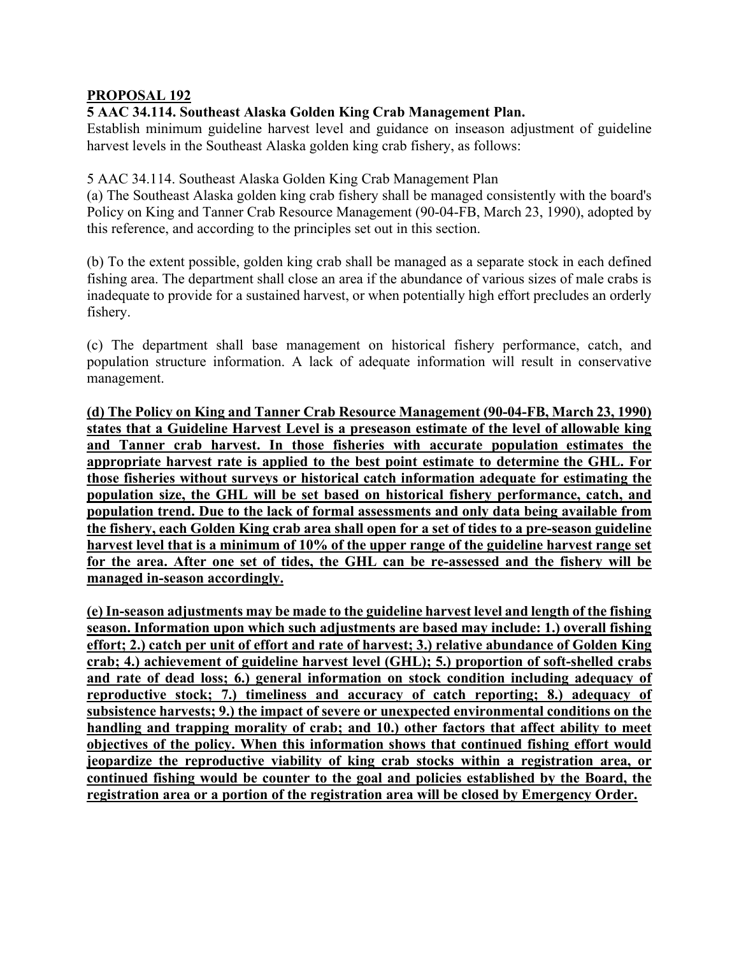## **PROPOSAL 192**

## **5 AAC 34.114. Southeast Alaska Golden King Crab Management Plan.**

Establish minimum guideline harvest level and guidance on inseason adjustment of guideline harvest levels in the Southeast Alaska golden king crab fishery, as follows:

## 5 AAC 34.114. Southeast Alaska Golden King Crab Management Plan

(a) The Southeast Alaska golden king crab fishery shall be managed consistently with the board's Policy on King and Tanner Crab Resource Management (90-04-FB, March 23, 1990), adopted by this reference, and according to the principles set out in this section.

(b) To the extent possible, golden king crab shall be managed as a separate stock in each defined fishing area. The department shall close an area if the abundance of various sizes of male crabs is inadequate to provide for a sustained harvest, or when potentially high effort precludes an orderly fishery.

(c) The department shall base management on historical fishery performance, catch, and population structure information. A lack of adequate information will result in conservative management.

**(d) The Policy on King and Tanner Crab Resource Management (90-04-FB, March 23, 1990) states that a Guideline Harvest Level is a preseason estimate of the level of allowable king and Tanner crab harvest. In those fisheries with accurate population estimates the appropriate harvest rate is applied to the best point estimate to determine the GHL. For those fisheries without surveys or historical catch information adequate for estimating the population size, the GHL will be set based on historical fishery performance, catch, and population trend. Due to the lack of formal assessments and only data being available from the fishery, each Golden King crab area shall open for a set of tides to a pre-season guideline harvest level that is a minimum of 10% of the upper range of the guideline harvest range set for the area. After one set of tides, the GHL can be re-assessed and the fishery will be managed in-season accordingly.** 

**(e) In-season adjustments may be made to the guideline harvest level and length of the fishing season. Information upon which such adjustments are based may include: 1.) overall fishing effort; 2.) catch per unit of effort and rate of harvest; 3.) relative abundance of Golden King crab; 4.) achievement of guideline harvest level (GHL); 5.) proportion of soft-shelled crabs and rate of dead loss; 6.) general information on stock condition including adequacy of reproductive stock; 7.) timeliness and accuracy of catch reporting; 8.) adequacy of subsistence harvests; 9.) the impact of severe or unexpected environmental conditions on the handling and trapping morality of crab; and 10.) other factors that affect ability to meet objectives of the policy. When this information shows that continued fishing effort would jeopardize the reproductive viability of king crab stocks within a registration area, or continued fishing would be counter to the goal and policies established by the Board, the registration area or a portion of the registration area will be closed by Emergency Order.**